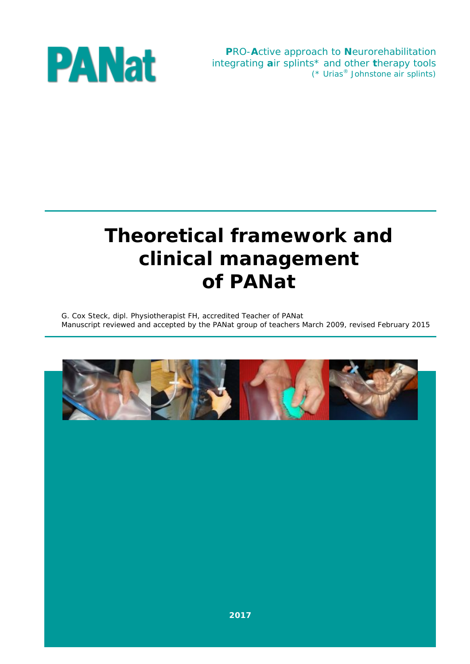**P**RO-**A**ctive approach to **N**eurorehabilitation integrating **a**ir splints\* and other **t**herapy tools (\* Urias® Johnstone air splints)



# **Theoretical framework and clinical management of PANat**

G. Cox Steck, dipl. Physiotherapist FH, accredited Teacher of PANat Manuscript reviewed and accepted by the PANat group of teachers March 2009, revised February 2015

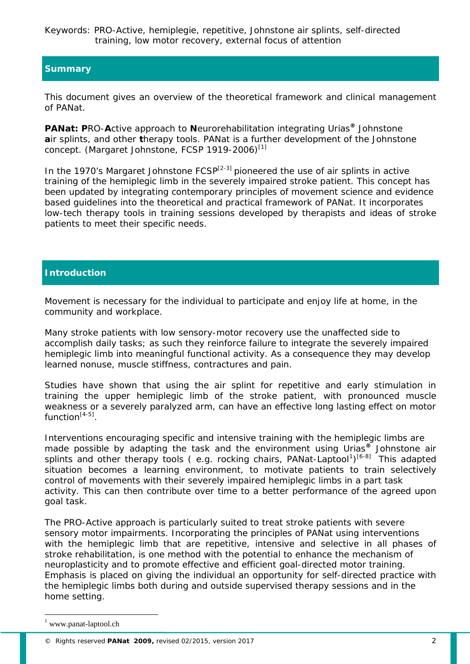Keywords: PRO-Active, hemiplegie, repetitive, Johnstone air splints, self-directed training, low motor recovery, external focus of attention

# **Summary**

This document gives an overview of the theoretical framework and clinical management of PANat*.*

**PANat***:* **P**RO-**A**ctive approach to **N**eurorehabilitation integrating Urias**®** Johnstone **a**ir splints, and other **t**herapy tools. PANat is a further development of the Johnstone concept. (Margaret Johnstone, FCSP 1919-2006)<sup>[1]</sup>

In the 1970's Margaret Johnstone  $FCSP^{[2-3]}$  pioneered the use of air splints in active training of the hemiplegic limb in the severely impaired stroke patient. This concept has been updated by integrating contemporary principles of movement science and evidence based guidelines into the theoretical and practical framework of PANat. It incorporates low-tech therapy tools in training sessions developed by therapists and ideas of stroke patients to meet their specific needs.

# **Introduction**

Movement is necessary for the individual to participate and enjoy life at home, in the community and workplace.

Many stroke patients with low sensory-motor recovery use the unaffected side to accomplish daily tasks; as such they reinforce failure to integrate the severely impaired hemiplegic limb into meaningful functional activity. As a consequence they may develop learned nonuse, muscle stiffness, contractures and pain.

Studies have shown that using the air splint for repetitive and early stimulation in training the upper hemiplegic limb of the stroke patient, with pronounced muscle weakness or a severely paralyzed arm, can have an effective long lasting effect on motor function $[4-5]$ .

Interventions encouraging specific and intensive training with the hemiplegic limbs are made possible by adapting the task and the environment using Urias**®** Johnstone air splints and other therapy tools (e.g. rocking chairs, PANat-Laptool<sup>[1](#page-1-0)</sup>)<sup>[6-8]</sup> This adapted situation becomes a learning environment, to motivate patients to train selectively control of movements with their severely impaired hemiplegic limbs in a part task activity. This can then contribute over time to a better performance of the agreed upon goal task.

The PRO-Active approach is particularly suited to treat stroke patients with severe sensory motor impairments. Incorporating the principles of PANat using interventions with the hemiplegic limb that are repetitive, intensive and selective in all phases of stroke rehabilitation, is one method with the potential to enhance the mechanism of neuroplasticity and to promote effective and efficient goal-directed motor training. Emphasis is placed on giving the individual an opportunity for self-directed practice with the hemiplegic limbs both during and outside supervised therapy sessions and in the home setting.

j.

<span id="page-1-0"></span><sup>1</sup> www.panat-laptool.ch

<sup>©</sup> Rights reserved **PANat 2009,** revised 02/2015, version 2017 2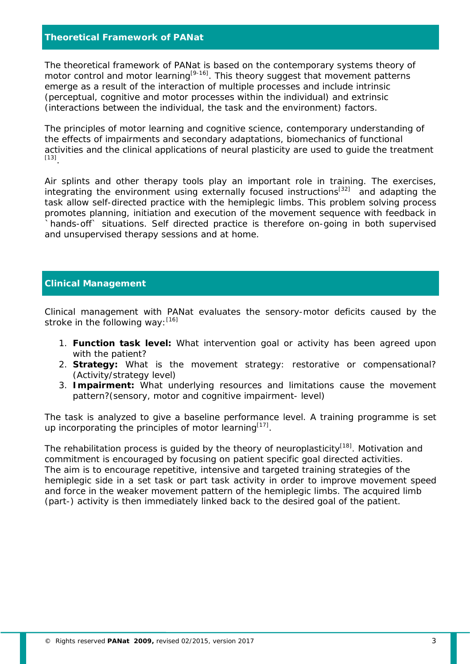# **Theoretical Framework of PANat**

The theoretical framework of PANat is based on the contemporary systems theory of motor control and motor learning<sup>[9-16]</sup>. This theory suggest that movement patterns emerge as a result of the interaction of multiple processes and include intrinsic (perceptual, cognitive and motor processes within the individual) and extrinsic (interactions between the individual, the task and the environment) factors.

The principles of motor learning and cognitive science, contemporary understanding of the effects of impairments and secondary adaptations, biomechanics of functional activities and the clinical applications of neural plasticity are used to guide the treatment [13].

Air splints and other therapy tools play an important role in training. The exercises, integrating the environment using externally focused instructions<sup>[32]</sup> and adapting the task allow self-directed practice with the hemiplegic limbs. This problem solving process promotes planning, initiation and execution of the movement sequence with feedback in hands-off` situations. Self directed practice is therefore on-going in both supervised and unsupervised therapy sessions and at home.

# **Clinical Management**

Clinical management with PANat evaluates the sensory-motor deficits caused by the stroke in the following way:  $[16]$ 

- 1. **Function task level:** What intervention goal or activity has been agreed upon with the patient?
- 2. **Strategy:** What is the movement strategy: restorative or compensational? (Activity/strategy level)
- 3. **Impairment:** What underlying resources and limitations cause the movement pattern?(sensory, motor and cognitive impairment- level)

The task is analyzed to give a baseline performance level. A training programme is set up incorporating the principles of motor learning $[17]$ .

The rehabilitation process is quided by the theory of neuroplasticity<sup>[18]</sup>. Motivation and commitment is encouraged by focusing on patient specific goal directed activities. The aim is to encourage repetitive, intensive and targeted training strategies of the hemiplegic side in a set task or part task activity in order to improve movement speed and force in the weaker movement pattern of the hemiplegic limbs. The acquired limb (part-) activity is then immediately linked back to the desired goal of the patient.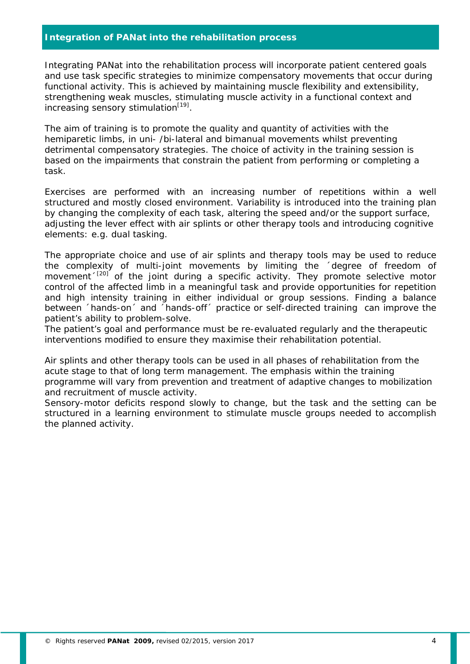# **Integration of PANat into the rehabilitation process**

Integrating PANat into the rehabilitation process will incorporate patient centered goals and use task specific strategies to minimize compensatory movements that occur during functional activity. This is achieved by maintaining muscle flexibility and extensibility, strengthening weak muscles, stimulating muscle activity in a functional context and increasing sensory stimulation $[19]$ .

The aim of training is to promote the quality and quantity of activities with the hemiparetic limbs, in uni- /bi-lateral and bimanual movements whilst preventing detrimental compensatory strategies. The choice of activity in the training session is based on the impairments that constrain the patient from performing or completing a task.

Exercises are performed with an increasing number of repetitions within a well structured and mostly closed environment. Variability is introduced into the training plan by changing the complexity of each task, altering the speed and/or the support surface, adjusting the lever effect with air splints or other therapy tools and introducing cognitive elements: e.g. dual tasking.

The appropriate choice and use of air splints and therapy tools may be used to reduce the complexity of multi-joint movements by limiting the ´degree of freedom of movement $1^{[20]}$  of the joint during a specific activity. They promote selective motor control of the affected limb in a meaningful task and provide opportunities for repetition and high intensity training in either individual or group sessions. Finding a balance between ´hands-on´ and ´hands-off´ practice or self-directed training can improve the patient's ability to problem-solve.

The patient's goal and performance must be re-evaluated regularly and the therapeutic interventions modified to ensure they maximise their rehabilitation potential.

Air splints and other therapy tools can be used in all phases of rehabilitation from the acute stage to that of long term management. The emphasis within the training programme will vary from prevention and treatment of adaptive changes to mobilization and recruitment of muscle activity.

Sensory-motor deficits respond slowly to change, but the task and the setting can be structured in a learning environment to stimulate muscle groups needed to accomplish the planned activity.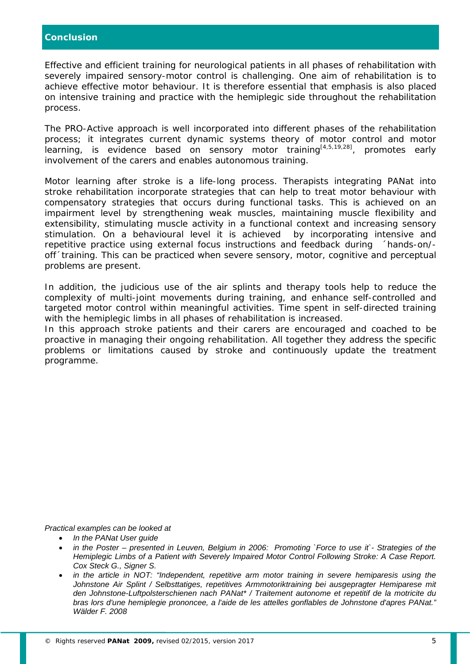Effective and efficient training for neurological patients in all phases of rehabilitation with severely impaired sensory-motor control is challenging. One aim of rehabilitation is to achieve effective motor behaviour. It is therefore essential that emphasis is also placed on intensive training and practice with the hemiplegic side throughout the rehabilitation process.

The PRO-Active approach is well incorporated into different phases of the rehabilitation process; it integrates current dynamic systems theory of motor control and motor learning, is evidence based on sensory motor training<sup>[4,5,19,28]</sup>, promotes early involvement of the carers and enables autonomous training.

Motor learning after stroke is a life-long process. Therapists integrating PANat into stroke rehabilitation incorporate strategies that can help to treat motor behaviour with compensatory strategies that occurs during functional tasks. This is achieved on an impairment level by strengthening weak muscles, maintaining muscle flexibility and extensibility, stimulating muscle activity in a functional context and increasing sensory stimulation. On a behavioural level it is achieved by incorporating intensive and repetitive practice using external focus instructions and feedback during ´hands-on/ off´training. This can be practiced when severe sensory, motor, cognitive and perceptual problems are present.

In addition, the judicious use of the air splints and therapy tools help to reduce the complexity of multi-joint movements during training, and enhance self-controlled and targeted motor control within meaningful activities. Time spent in self-directed training with the hemiplegic limbs in all phases of rehabilitation is increased.

In this approach stroke patients and their carers are encouraged and coached to be proactive in managing their ongoing rehabilitation. All together they address the specific problems or limitations caused by stroke and continuously update the treatment programme.

*Practical examples can be looked at*

- *In the PANat User guide*
- *in the Poster – presented in Leuven, Belgium in 2006: Promoting `Force to use it`- Strategies of the Hemiplegic Limbs of a Patient with Severely Impaired Motor Control Following Stroke: A Case Report. Cox Steck G., Signer S.*
- *in the article in NOT: "Independent, repetitive arm motor training in severe hemiparesis using the Johnstone Air Splint / Selbsttatiges, repetitives Armmotoriktraining bei ausgepragter Hemiparese mit den Johnstone-Luftpolsterschienen nach PANat\* / Traitement autonome et repetitif de la motricite du bras lors d'une hemiplegie prononcee, a l'aide de les attelles gonflables de Johnstone d'apres PANat." Wälder F. 2008*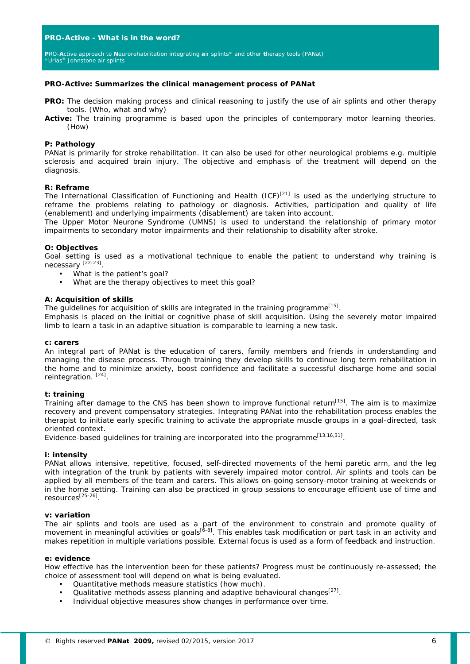## **PRO-Active** *-* **What is in the word?**

**P**RO-**A**ctive approach to **N**eurorehabilitation integrating **a**ir splints\* and other **t**herapy tools (PANat*)* \*Urias® Johnstone air splints

#### **PRO-Active: Summarizes the clinical management process of PANat**

- **PRO:** The decision making process and clinical reasoning to justify the use of air splints and other therapy tools. (Who, what and why)
- **Active:** The training programme is based upon the principles of contemporary motor learning theories. (How)

## **P: Pathology**

PANat is primarily for stroke rehabilitation. It can also be used for other neurological problems e.g. multiple sclerosis and acquired brain injury. The objective and emphasis of the treatment will depend on the diagnosis.

## **R: Reframe**

The International Classification of Functioning and Health (ICF)<sup>[21]</sup> is used as the underlying structure to reframe the problems relating to pathology or diagnosis. Activities, participation and quality of life (enablement) and underlying impairments (disablement) are taken into account.

The Upper Motor Neurone Syndrome (UMNS) is used to understand the relationship of primary motor impairments to secondary motor impairments and their relationship to disability after stroke.

#### **O: Objectives**

Goal setting is used as a motivational technique to enable the patient to understand why training is necessary<sup>[22-23]</sup>.

- What is the patient's goal?
	- What are the therapy objectives to meet this goal?

#### **A: Acquisition of skills**

The quidelines for acquisition of skills are integrated in the training programme<sup>[15]</sup>.

Emphasis is placed on the initial or cognitive phase of skill acquisition. Using the severely motor impaired limb to learn a task in an adaptive situation is comparable to learning a new task.

#### **c: carers**

An integral part of PANat is the education of carers, family members and friends in understanding and managing the disease process. Through training they develop skills to continue long term rehabilitation in the home and to minimize anxiety, boost confidence and facilitate a successful discharge home and social reintegration. [24].

## **t: training**

Training after damage to the CNS has been shown to improve functional return<sup>[15]</sup>. The aim is to maximize recovery and prevent compensatory strategies. Integrating PANat into the rehabilitation process enables the therapist to initiate early specific training to activate the appropriate muscle groups in a goal-directed, task oriented context.

Evidence-based guidelines for training are incorporated into the programme<sup>[13,16,31]</sup>.

#### **i: intensity**

PANat allows intensive, repetitive, focused, self-directed movements of the hemi paretic arm, and the leg with integration of the trunk by patients with severely impaired motor control. Air splints and tools can be applied by all members of the team and carers. This allows on-going sensory-motor training at weekends or in the home setting. Training can also be practiced in group sessions to encourage efficient use of time and resources[25-26].

#### **v: variation**

The air splints and tools are used as a part of the environment to constrain and promote quality of movement in meaningful activities or goals<sup>[6-8]</sup>. This enables task modification or part task in an activity and makes repetition in multiple variations possible. External focus is used as a form of feedback and instruction.

## **e: evidence**

How effective has the intervention been for these patients? Progress must be continuously re-assessed; the choice of assessment tool will depend on what is being evaluated.

- Quantitative methods measure statistics (how much).
- Qualitative methods assess planning and adaptive behavioural changes $[27]$ .
- Individual objective measures show changes in performance over time.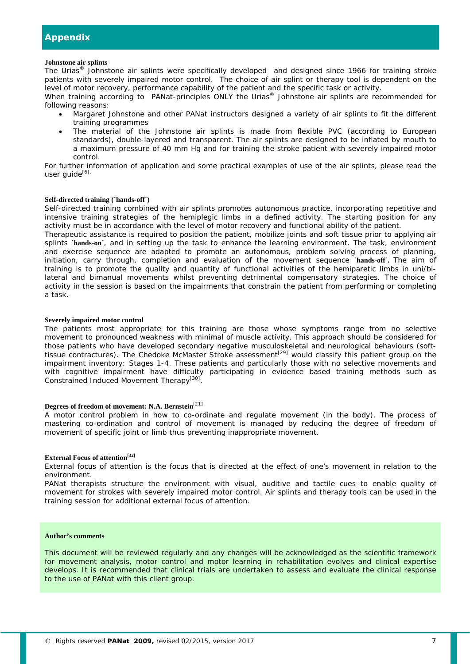#### **Johnstone air splints**

The Urias® Johnstone air splints were specifically developed and designed since 1966 for training stroke patients with severely impaired motor control. The choice of air splint or therapy tool is dependent on the level of motor recovery, performance capability of the patient and the specific task or activity.

When training according to PANat-principles ONLY the Urias<sup>®</sup> Johnstone air splints are recommended for following reasons:

- Margaret Johnstone and other PANat instructors designed a variety of air splints to fit the different training programmes
- The material of the Johnstone air splints is made from flexible PVC (according to European standards), double-layered and transparent. The air splints are designed to be inflated by mouth to a maximum pressure of 40 mm Hg and for training the stroke patient with severely impaired motor control.

For further information of application and some practical examples of use of the air splints, please read the user guide[6].

#### **Self-directed training (´hands-off´)**

Self-directed training combined with air splints promotes autonomous practice, incorporating repetitive and intensive training strategies of the hemiplegic limbs in a defined activity. The starting position for any activity must be in accordance with the level of motor recovery and functional ability of the patient.

Therapeutic assistance is required to position the patient, mobilize joints and soft tissue prior to applying air splints 'hands-on', and in setting up the task to enhance the learning environment. The task, environment and exercise sequence are adapted to promote an autonomous, problem solving process of planning, initiation, carry through, completion and evaluation of the movement sequence **´hands-off´.** The aim of training is to promote the quality and quantity of functional activities of the hemiparetic limbs in uni/bilateral and bimanual movements whilst preventing detrimental compensatory strategies. The choice of activity in the session is based on the impairments that constrain the patient from performing or completing a task.

#### **Severely impaired motor control**

The patients most appropriate for this training are those whose symptoms range from no selective movement to pronounced weakness with minimal of muscle activity. This approach should be considered for those patients who have developed secondary negative musculoskeletal and neurological behaviours (softtissue contractures). The Chedoke McMaster Stroke assessment<sup>[29]</sup> would classify this patient group on the impairment inventory: Stages 1-4. These patients and particularly those with no selective movements and with cognitive impairment have difficulty participating in evidence based training methods such as Constrained Induced Movement Therapy<sup>[30]</sup>.

# **Degrees of freedom of movement: N.A. Bernstein**[21]

A motor control problem in how to co-ordinate and regulate movement (in the body). The process of mastering co-ordination and control of movement is managed by reducing the degree of freedom of movement of specific joint or limb thus preventing inappropriate movement.

## **External Focus of attention[32]**

External focus of attention is the focus that is directed at the effect of one's movement in relation to the environment.

PANat therapists structure the environment with visual, auditive and tactile cues to enable quality of movement for strokes with severely impaired motor control. Air splints and therapy tools can be used in the training session for additional external focus of attention.

## **Author's comments**

This document will be reviewed regularly and any changes will be acknowledged as the scientific framework for movement analysis, motor control and motor learning in rehabilitation evolves and clinical expertise develops. It is recommended that clinical trials are undertaken to assess and evaluate the clinical response to the use of PANat with this client group.